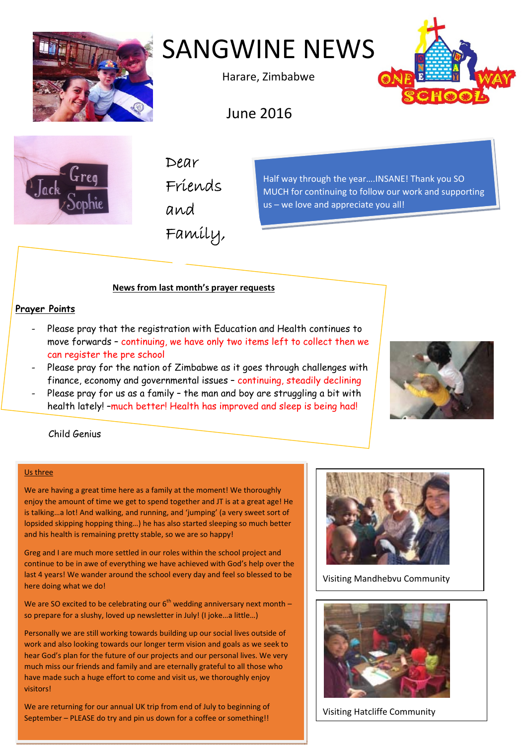

# SANGWINE NEWS

Harare, Zimbabwe



June 2016



Dear Friends and Family,

Half way through the year….INSANE! Thank you SO MUCH for continuing to follow our work and supporting us – we love and appreciate you all!

# **News from last month's prayer requests**

# **Prayer Points**

- Please pray that the registration with Education and Health continues to move forwards – continuing, we have only two items left to collect then we can register the pre school
- Please pray for the nation of Zimbabwe as it goes through challenges with finance, economy and governmental issues – continuing, steadily declining
- Please pray for us as a family the man and boy are struggling a bit with health lately! –much better! Health has improved and sleep is being had!



# Child Genius

#### Us three

We are having a great time here as a family at the moment! We thoroughly enjoy the amount of time we get to spend together and JT is at a great age! He is talking…a lot! And walking, and running, and 'jumping' (a very sweet sort of lopsided skipping hopping thing…) he has also started sleeping so much better and his health is remaining pretty stable, so we are so happy!

Greg and I are much more settled in our roles within the school project and continue to be in awe of everything we have achieved with God's help over the last 4 years! We wander around the school every day and feel so blessed to be here doing what we do!

We are SO excited to be celebrating our  $6<sup>th</sup>$  wedding anniversary next month – so prepare for a slushy, loved up newsletter in July! (I joke…a little…)

Personally we are still working towards building up our social lives outside of work and also looking towards our longer term vision and goals as we seek to hear God's plan for the future of our projects and our personal lives. We very much miss our friends and family and are eternally grateful to all those who have made such a huge effort to come and visit us, we thoroughly enjoy visitors!

We are returning for our annual UK trip from end of July to beginning of September – PLEASE do try and pin us down for a coffee or something!!



Visiting Mandhebvu Community



Visiting Hatcliffe Community